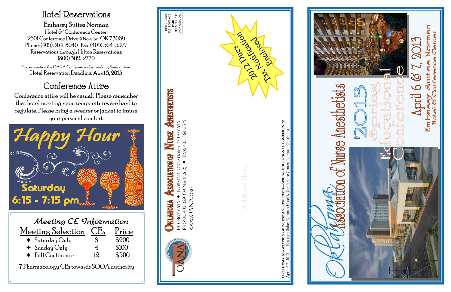| Meeting CE Information          |    |       |  |  |
|---------------------------------|----|-------|--|--|
| Meeting Selection CEs           |    | Price |  |  |
| $\triangleleft$ Saturday Only   | X  | \$200 |  |  |
| $\blacklozenge$ Sunday Only     | 4  | \$100 |  |  |
| $\blacklozenge$ Full Conference | 19 |       |  |  |

7 Pharmacology CEs towards SOOA authority

### Hotel Reservations

Embassy Suites Norman Hotel & Conference Center, 2501 Conference Drive ¹ Norman, OK 73069 Phone: (405) 364-8040 Fax: (405) 364-3377 Reservations through Hilton Reservations: (800) 362-2779

Please mention the OANA Conference when making Reservations. Hotel Reservation Deadline: April 5, 2013

## Conference Attire

Conference attire will be casual. Please remember that hotel meeting room temperatures are hard to regulate. Please bring a sweater or jacket to insure your personal comfort.